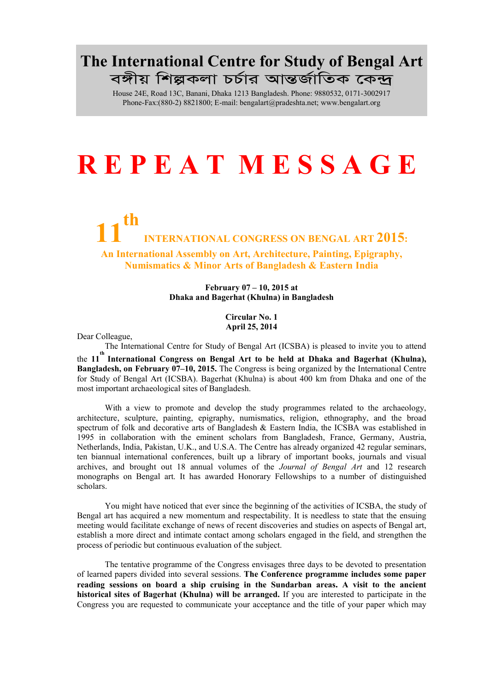## The International Centre for Study of Bengal Art বঙ্গীয় শিল্পকলা চৰ্চার আন্তর্জাতিক কেন্দ্র

House 24E, Road 13C, Banani, Dhaka 1213 Bangladesh. Phone: 9880532, 0171-3002917 Phone-Fax:(880-2) 8821800; E-ma[il: bengalart@pradeshta.net;](mailto:bengalart@pradeshta.net) [www.bengalart.org](http://www.bengalart.org/)

# R E P E A T M E S S A G E

## 11 th INTERNATIONAL CONGRESS ON BENGAL ART 2015:

An International Assembly on Art, Architecture, Painting, Epigraphy, Numismatics & Minor Arts of Bangladesh & Eastern India

#### February 07 – 10, 2015 at Dhaka and Bagerhat (Khulna) in Bangladesh

Circular No. 1 April 25, 2014

Dear Colleague,

The International Centre for Study of Bengal Art (ICSBA) is pleased to invite you to attend

the 11<sup>th</sup> International Congress on Bengal Art to be held at Dhaka and Bagerhat (Khulna), Bangladesh, on February 07–10, 2015. The Congress is being organized by the International Centre for Study of Bengal Art (ICSBA). Bagerhat (Khulna) is about 400 km from Dhaka and one of the most important archaeological sites of Bangladesh.

With a view to promote and develop the study programmes related to the archaeology, architecture, sculpture, painting, epigraphy, numismatics, religion, ethnography, and the broad spectrum of folk and decorative arts of Bangladesh & Eastern India, the ICSBA was established in 1995 in collaboration with the eminent scholars from Bangladesh, France, Germany, Austria, Netherlands, India, Pakistan, U.K., and U.S.A. The Centre has already organized 42 regular seminars, ten biannual international conferences, built up a library of important books, journals and visual archives, and brought out 18 annual volumes of the *Journal of Bengal Art* and 12 research monographs on Bengal art. It has awarded Honorary Fellowships to a number of distinguished scholars.

You might have noticed that ever since the beginning of the activities of ICSBA, the study of Bengal art has acquired a new momentum and respectability. It is needless to state that the ensuing meeting would facilitate exchange of news of recent discoveries and studies on aspects of Bengal art, establish a more direct and intimate contact among scholars engaged in the field, and strengthen the process of periodic but continuous evaluation of the subject.

The tentative programme of the Congress envisages three days to be devoted to presentation of learned papers divided into several sessions. The Conference programme includes some paper reading sessions on board a ship cruising in the Sundarban areas. A visit to the ancient historical sites of Bagerhat (Khulna) will be arranged. If you are interested to participate in the Congress you are requested to communicate your acceptance and the title of your paper which may